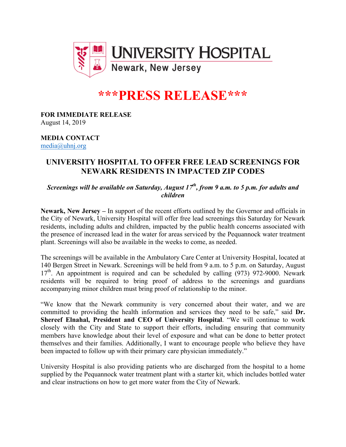

# **\*\*\*PRESS RELEASE\*\*\***

## **FOR IMMEDIATE RELEASE**

August 14, 2019

#### **MEDIA CONTACT** media@uhnj.org

### **UNIVERSITY HOSPITAL TO OFFER FREE LEAD SCREENINGS FOR NEWARK RESIDENTS IN IMPACTED ZIP CODES**

*Screenings will be available on Saturday, August 17th, from 9 a.m. to 5 p.m. for adults and children* 

**Newark, New Jersey –** In support of the recent efforts outlined by the Governor and officials in the City of Newark, University Hospital will offer free lead screenings this Saturday for Newark residents, including adults and children, impacted by the public health concerns associated with the presence of increased lead in the water for areas serviced by the Pequannock water treatment plant. Screenings will also be available in the weeks to come, as needed.

The screenings will be available in the Ambulatory Care Center at University Hospital, located at 140 Bergen Street in Newark. Screenings will be held from 9 a.m. to 5 p.m. on Saturday, August  $17<sup>th</sup>$ . An appointment is required and can be scheduled by calling (973) 972-9000. Newark residents will be required to bring proof of address to the screenings and guardians accompanying minor children must bring proof of relationship to the minor.

"We know that the Newark community is very concerned about their water, and we are committed to providing the health information and services they need to be safe," said **Dr. Shereef Elnahal, President and CEO of University Hospital**. "We will continue to work closely with the City and State to support their efforts, including ensuring that community members have knowledge about their level of exposure and what can be done to better protect themselves and their families. Additionally, I want to encourage people who believe they have been impacted to follow up with their primary care physician immediately."

University Hospital is also providing patients who are discharged from the hospital to a home supplied by the Pequannock water treatment plant with a starter kit, which includes bottled water and clear instructions on how to get more water from the City of Newark.